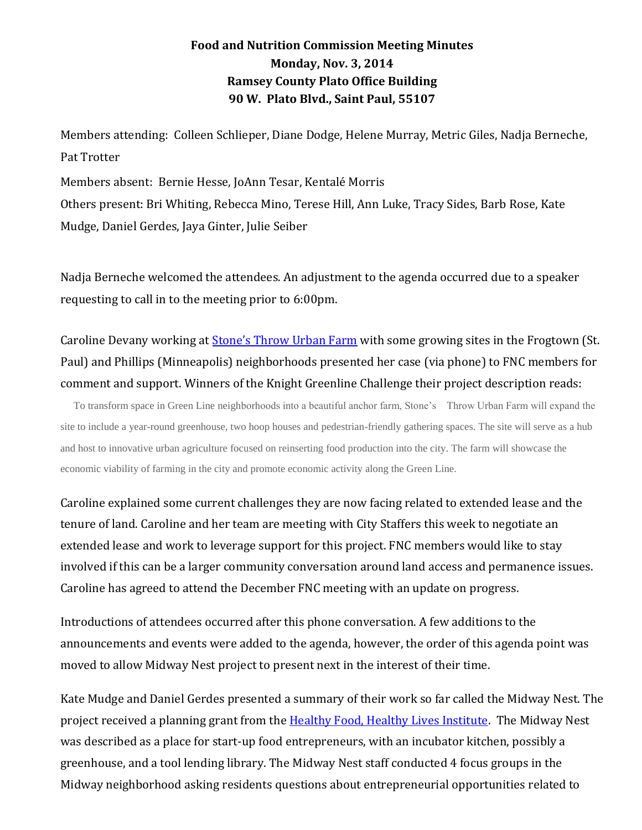## **Food and Nutrition Commission Meeting Minutes Monday, Nov. 3, 2014 Ramsey County Plato Office Building 90 W. Plato Blvd., Saint Paul, 55107**

Members attending: Colleen Schlieper, Diane Dodge, Helene Murray, Metric Giles, Nadja Berneche, Pat Trotter

Members absent: Bernie Hesse, JoAnn Tesar, Kentalé Morris Others present: Bri Whiting, Rebecca Mino, Terese Hill, Ann Luke, Tracy Sides, Barb Rose, Kate Mudge, Daniel Gerdes, Jaya Ginter, Julie Seiber

Nadja Berneche welcomed the attendees. An adjustment to the agenda occurred due to a speaker requesting to call in to the meeting prior to 6:00pm.

Caroline Devany working at **[Stone's Throw Urban Farm](http://stonesthrowurbanfarm.com/)** with some growing sites in the Frogtown (St. Paul) and Phillips (Minneapolis) neighborhoods presented her case (via phone) to FNC members for comment and support. Winners of the Knight Greenline Challenge their project description reads:

 To transform space in Green Line neighborhoods into a beautiful anchor farm, Stone's Throw Urban Farm will expand the site to include a year-round greenhouse, two hoop houses and pedestrian-friendly gathering spaces. The site will serve as a hub and host to innovative urban agriculture focused on reinserting food production into the city. The farm will showcase the economic viability of farming in the city and promote economic activity along the Green Line.

Caroline explained some current challenges they are now facing related to extended lease and the tenure of land. Caroline and her team are meeting with City Staffers this week to negotiate an extended lease and work to leverage support for this project. FNC members would like to stay involved if this can be a larger community conversation around land access and permanence issues. Caroline has agreed to attend the December FNC meeting with an update on progress.

Introductions of attendees occurred after this phone conversation. A few additions to the announcements and events were added to the agenda, however, the order of this agenda point was moved to allow Midway Nest project to present next in the interest of their time.

Kate Mudge and Daniel Gerdes presented a summary of their work so far called the Midway Nest. The project received a planning grant from the **Healthy Food, Healthy Lives Institute**. The Midway Nest was described as a place for start-up food entrepreneurs, with an incubator kitchen, possibly a greenhouse, and a tool lending library. The Midway Nest staff conducted 4 focus groups in the Midway neighborhood asking residents questions about entrepreneurial opportunities related to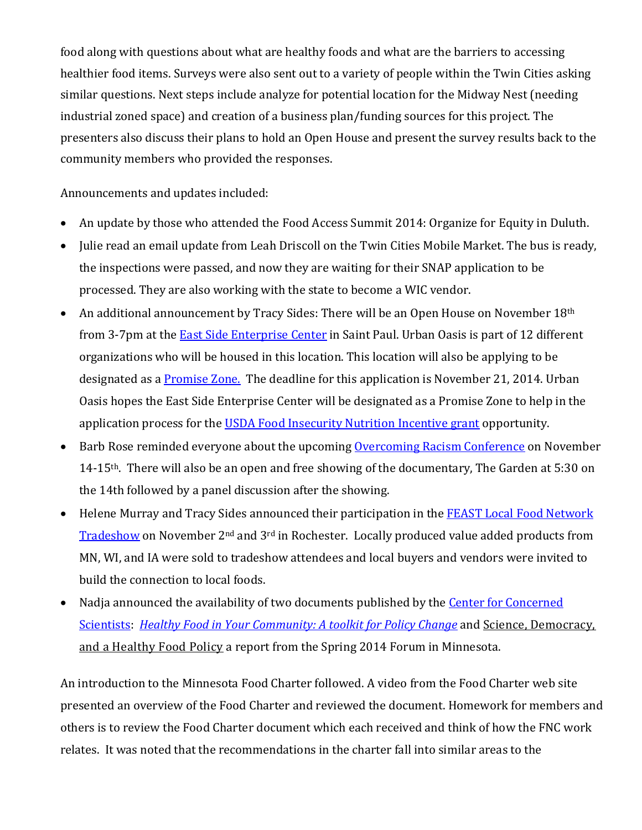food along with questions about what are healthy foods and what are the barriers to accessing healthier food items. Surveys were also sent out to a variety of people within the Twin Cities asking similar questions. Next steps include analyze for potential location for the Midway Nest (needing industrial zoned space) and creation of a business plan/funding sources for this project. The presenters also discuss their plans to hold an Open House and present the survey results back to the community members who provided the responses.

Announcements and updates included:

- An update by those who attended the Food Access Summit 2014: Organize for Equity in Duluth.
- Julie read an email update from Leah Driscoll on the Twin Cities Mobile Market. The bus is ready, the inspections were passed, and now they are waiting for their SNAP application to be processed. They are also working with the state to become a WIC vendor.
- An additional announcement by Tracy Sides: There will be an Open House on November  $18<sup>th</sup>$ from 3-7pm at the [East Side Enterprise Center](http://www.daytonsbluff.org/our-work/esec/) in Saint Paul. Urban Oasis is part of 12 different organizations who will be housed in this location. This location will also be applying to be designated as a <u>Promise Zone.</u> The deadline for this application is November 21, 2014. Urban Oasis hopes the East Side Enterprise Center will be designated as a Promise Zone to help in the application process for the [USDA Food Insecurity Nutrition Incentive grant](http://www.csrees.usda.gov/fo/foodinsecuritynutritionincentive.cfm) opportunity.
- Barb Rose reminded everyone about the upcoming [Overcoming Racism Conference](http://www.overcomingracism.org/2014/home.html) on November 14-15th. There will also be an open and free showing of the documentary, The Garden at 5:30 on the 14th followed by a panel discussion after the showing.
- Helene Murray and Tracy Sides announced their participation in the [FEAST Local Food Network](http://www.local-feast.org/)  [Tradeshow](http://www.local-feast.org/) on November 2nd and 3rd in Rochester. Locally produced value added products from MN, WI, and IA were sold to tradeshow attendees and local buyers and vendors were invited to build the connection to local foods.
- Nadja announced the availability of two documents published by the [Center for Concerned](http://www.ucsusa.org/)  [Scientists:](http://www.ucsusa.org/) *[Healthy Food in Your Community: A toolkit for Policy Change](http://www.ucsusa.org/sites/default/files/attach/2014/10/ucs-food-policy-toolkit-2014.pdf)* and [Science, Democracy,](http://www.ucsusa.org/center-for-science-and-democracy/events/science-democracy-and-a-healthy-food-policy.html)  [and a Healthy Food Policy](http://www.ucsusa.org/center-for-science-and-democracy/events/science-democracy-and-a-healthy-food-policy.html) a report from the Spring 2014 Forum in Minnesota.

An introduction to the Minnesota Food Charter followed. A video from the Food Charter web site presented an overview of the Food Charter and reviewed the document. Homework for members and others is to review the Food Charter document which each received and think of how the FNC work relates. It was noted that the recommendations in the charter fall into similar areas to the